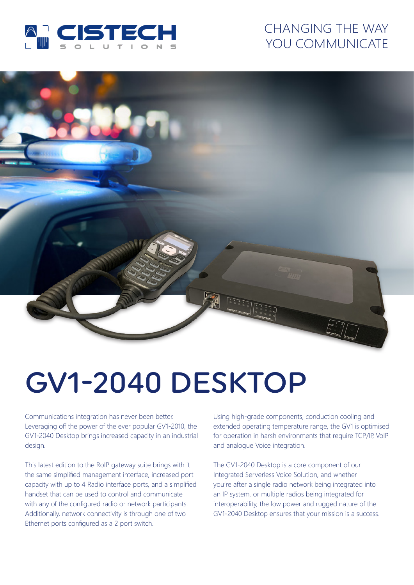

## CHANGING THE WAY YOU COMMUNICATE



# GV1-2040 DESKTOP

Communications integration has never been better. Leveraging off the power of the ever popular GV1-2010, the GV1-2040 Desktop brings increased capacity in an industrial design.

This latest edition to the RoIP gateway suite brings with it the same simplified management interface, increased port capacity with up to 4 Radio interface ports, and a simplified handset that can be used to control and communicate with any of the configured radio or network participants. Additionally, network connectivity is through one of two Ethernet ports configured as a 2 port switch.

Using high-grade components, conduction cooling and extended operating temperature range, the GV1 is optimised for operation in harsh environments that require TCP/IP, VoIP and analogue Voice integration.

The GV1-2040 Desktop is a core component of our Integrated Serverless Voice Solution, and whether you're after a single radio network being integrated into an IP system, or multiple radios being integrated for interoperability, the low power and rugged nature of the GV1-2040 Desktop ensures that your mission is a success.